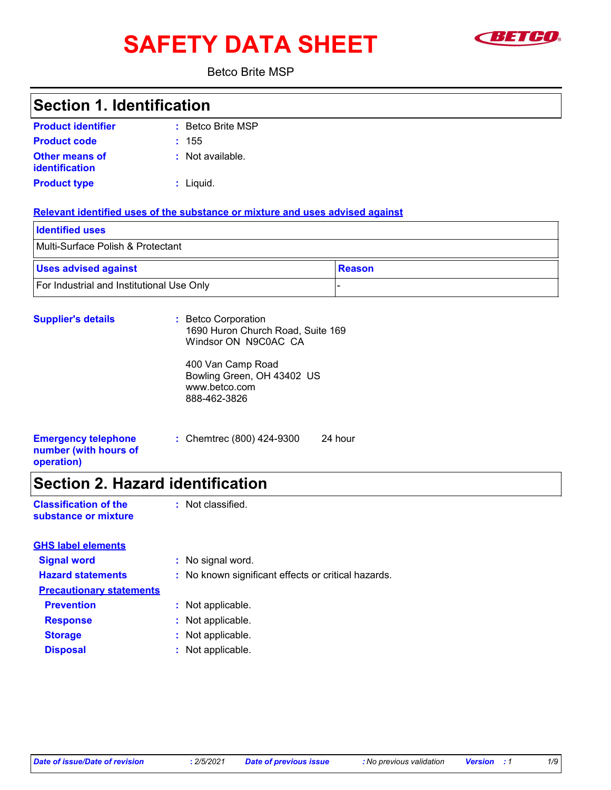# SAFETY DATA SHEET **SETCO**



Betco Brite MSP

### **Section 1. Identification**

| <b>Product identifier</b>               | : Betco Brite MSP |
|-----------------------------------------|-------------------|
| <b>Product code</b>                     | : 155             |
| <b>Other means of</b><br>identification | : Not available.  |
| <b>Product type</b>                     | : Liquid.         |

#### **Relevant identified uses of the substance or mixture and uses advised against**

| <b>Identified uses</b>                           |        |  |
|--------------------------------------------------|--------|--|
| Multi-Surface Polish & Protectant                |        |  |
| <b>Uses advised against</b>                      | Reason |  |
| <b>For Industrial and Institutional Use Only</b> |        |  |

| <b>Supplier's details</b>                                         | : Betco Corporation<br>1690 Huron Church Road, Suite 169<br>Windsor ON N9C0AC CA |         |
|-------------------------------------------------------------------|----------------------------------------------------------------------------------|---------|
|                                                                   | 400 Van Camp Road<br>Bowling Green, OH 43402 US<br>www.betco.com<br>888-462-3826 |         |
| <b>Emergency telephone</b><br>number (with hours of<br>operation) | : Chemtrec (800) 424-9300                                                        | 24 hour |

# **Section 2. Hazard identification**

| <b>Classification of the</b> | : Not classified. |
|------------------------------|-------------------|
| substance or mixture         |                   |

| <b>GHS label elements</b>       |                                                     |
|---------------------------------|-----------------------------------------------------|
| <b>Signal word</b>              | : No signal word.                                   |
| <b>Hazard statements</b>        | : No known significant effects or critical hazards. |
| <b>Precautionary statements</b> |                                                     |
| <b>Prevention</b>               | : Not applicable.                                   |
| <b>Response</b>                 | : Not applicable.                                   |
| <b>Storage</b>                  | : Not applicable.                                   |
| <b>Disposal</b>                 | : Not applicable.                                   |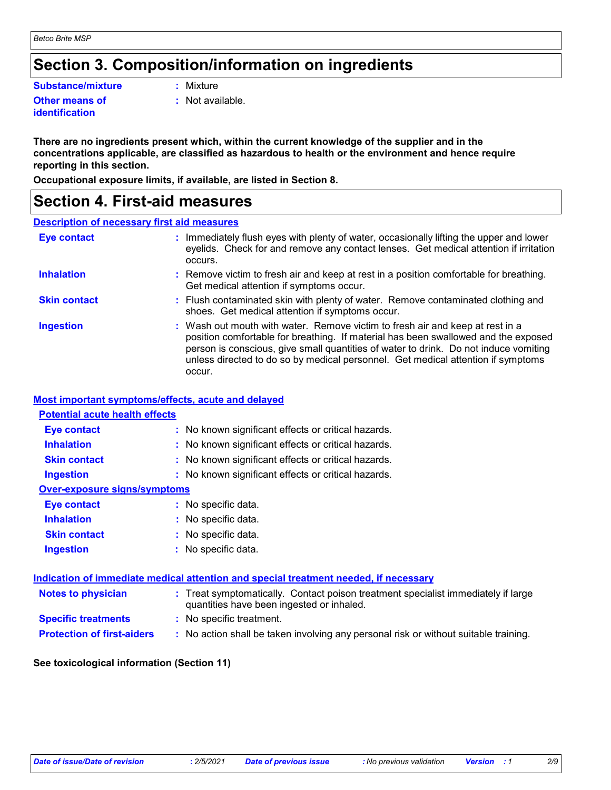# **Section 3. Composition/information on ingredients**

**Substance/mixture :**

**Other means of identification**

: Mixture

**:** Not available.

**There are no ingredients present which, within the current knowledge of the supplier and in the concentrations applicable, are classified as hazardous to health or the environment and hence require reporting in this section.**

**Occupational exposure limits, if available, are listed in Section 8.**

### **Section 4. First-aid measures**

#### **Description of necessary first aid measures**

| <b>Eye contact</b>  | : Immediately flush eyes with plenty of water, occasionally lifting the upper and lower<br>eyelids. Check for and remove any contact lenses. Get medical attention if irritation<br>occurs.                                                                                                                                                               |
|---------------------|-----------------------------------------------------------------------------------------------------------------------------------------------------------------------------------------------------------------------------------------------------------------------------------------------------------------------------------------------------------|
| <b>Inhalation</b>   | : Remove victim to fresh air and keep at rest in a position comfortable for breathing.<br>Get medical attention if symptoms occur.                                                                                                                                                                                                                        |
| <b>Skin contact</b> | : Flush contaminated skin with plenty of water. Remove contaminated clothing and<br>shoes. Get medical attention if symptoms occur.                                                                                                                                                                                                                       |
| <b>Ingestion</b>    | : Wash out mouth with water. Remove victim to fresh air and keep at rest in a<br>position comfortable for breathing. If material has been swallowed and the exposed<br>person is conscious, give small quantities of water to drink. Do not induce vomiting<br>unless directed to do so by medical personnel. Get medical attention if symptoms<br>occur. |

#### **Most important symptoms/effects, acute and delayed**

| <b>Potential acute health effects</b> |                                                                                                                                |
|---------------------------------------|--------------------------------------------------------------------------------------------------------------------------------|
| Eye contact                           | : No known significant effects or critical hazards.                                                                            |
| <b>Inhalation</b>                     | : No known significant effects or critical hazards.                                                                            |
| <b>Skin contact</b>                   | : No known significant effects or critical hazards.                                                                            |
| <b>Ingestion</b>                      | : No known significant effects or critical hazards.                                                                            |
| <b>Over-exposure signs/symptoms</b>   |                                                                                                                                |
| Eye contact                           | : No specific data.                                                                                                            |
| <b>Inhalation</b>                     | : No specific data.                                                                                                            |
| <b>Skin contact</b>                   | : No specific data.                                                                                                            |
| <b>Ingestion</b>                      | : No specific data.                                                                                                            |
|                                       |                                                                                                                                |
|                                       | Indication of immediate medical attention and special treatment needed, if necessary                                           |
| <b>Notes to physician</b>             | : Treat symptomatically. Contact poison treatment specialist immediately if large<br>quantities have been ingested or inhaled. |
| <b>Specific treatments</b>            | : No specific treatment.                                                                                                       |
| <b>Protection of first-aiders</b>     | : No action shall be taken involving any personal risk or without suitable training.                                           |

#### **See toxicological information (Section 11)**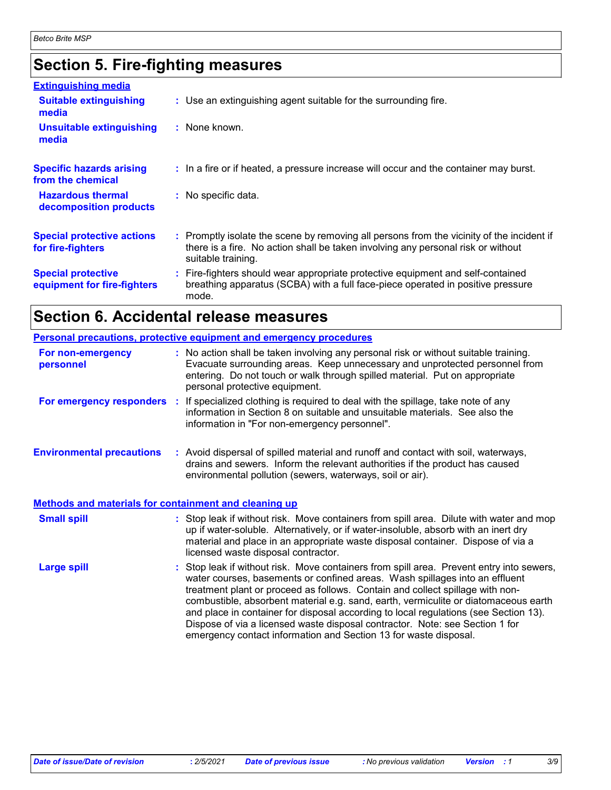# **Section 5. Fire-fighting measures**

| <b>Extinguishing media</b>                               |                                                                                                                                                                                                     |
|----------------------------------------------------------|-----------------------------------------------------------------------------------------------------------------------------------------------------------------------------------------------------|
| <b>Suitable extinguishing</b><br>media                   | : Use an extinguishing agent suitable for the surrounding fire.                                                                                                                                     |
| <b>Unsuitable extinguishing</b><br>media                 | : None known.                                                                                                                                                                                       |
| <b>Specific hazards arising</b><br>from the chemical     | : In a fire or if heated, a pressure increase will occur and the container may burst.                                                                                                               |
| <b>Hazardous thermal</b><br>decomposition products       | : No specific data.                                                                                                                                                                                 |
| <b>Special protective actions</b><br>for fire-fighters   | : Promptly isolate the scene by removing all persons from the vicinity of the incident if<br>there is a fire. No action shall be taken involving any personal risk or without<br>suitable training. |
| <b>Special protective</b><br>equipment for fire-fighters | : Fire-fighters should wear appropriate protective equipment and self-contained<br>breathing apparatus (SCBA) with a full face-piece operated in positive pressure<br>mode.                         |

# **Section 6. Accidental release measures**

|                                                                                                  | <b>Personal precautions, protective equipment and emergency procedures</b>                                                                                                                                                                                                                                                                                                                                                                                                                                                                                                                  |
|--------------------------------------------------------------------------------------------------|---------------------------------------------------------------------------------------------------------------------------------------------------------------------------------------------------------------------------------------------------------------------------------------------------------------------------------------------------------------------------------------------------------------------------------------------------------------------------------------------------------------------------------------------------------------------------------------------|
| For non-emergency<br>personnel                                                                   | : No action shall be taken involving any personal risk or without suitable training.<br>Evacuate surrounding areas. Keep unnecessary and unprotected personnel from<br>entering. Do not touch or walk through spilled material. Put on appropriate<br>personal protective equipment.                                                                                                                                                                                                                                                                                                        |
|                                                                                                  | For emergency responders : If specialized clothing is required to deal with the spillage, take note of any<br>information in Section 8 on suitable and unsuitable materials. See also the<br>information in "For non-emergency personnel".                                                                                                                                                                                                                                                                                                                                                  |
| <b>Environmental precautions</b><br><b>Methods and materials for containment and cleaning up</b> | : Avoid dispersal of spilled material and runoff and contact with soil, waterways,<br>drains and sewers. Inform the relevant authorities if the product has caused<br>environmental pollution (sewers, waterways, soil or air).                                                                                                                                                                                                                                                                                                                                                             |
|                                                                                                  |                                                                                                                                                                                                                                                                                                                                                                                                                                                                                                                                                                                             |
| <b>Small spill</b>                                                                               | : Stop leak if without risk. Move containers from spill area. Dilute with water and mop<br>up if water-soluble. Alternatively, or if water-insoluble, absorb with an inert dry<br>material and place in an appropriate waste disposal container. Dispose of via a<br>licensed waste disposal contractor.                                                                                                                                                                                                                                                                                    |
| <b>Large spill</b>                                                                               | : Stop leak if without risk. Move containers from spill area. Prevent entry into sewers,<br>water courses, basements or confined areas. Wash spillages into an effluent<br>treatment plant or proceed as follows. Contain and collect spillage with non-<br>combustible, absorbent material e.g. sand, earth, vermiculite or diatomaceous earth<br>and place in container for disposal according to local regulations (see Section 13).<br>Dispose of via a licensed waste disposal contractor. Note: see Section 1 for<br>emergency contact information and Section 13 for waste disposal. |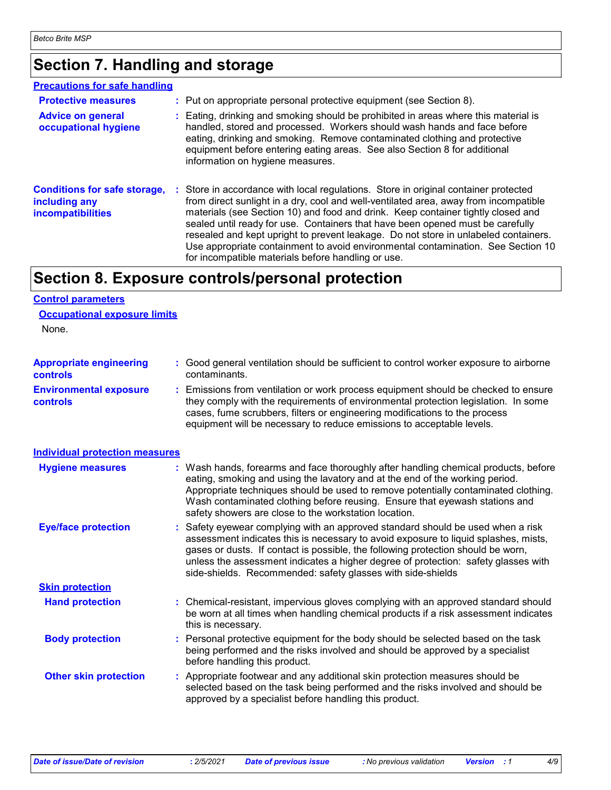# **Section 7. Handling and storage**

#### **Precautions for safe handling**

| <b>Protective measures</b><br><b>Advice on general</b><br>occupational hygiene   | : Put on appropriate personal protective equipment (see Section 8).<br>: Eating, drinking and smoking should be prohibited in areas where this material is<br>handled, stored and processed. Workers should wash hands and face before<br>eating, drinking and smoking. Remove contaminated clothing and protective<br>equipment before entering eating areas. See also Section 8 for additional<br>information on hygiene measures.                                                                                                                                               |
|----------------------------------------------------------------------------------|------------------------------------------------------------------------------------------------------------------------------------------------------------------------------------------------------------------------------------------------------------------------------------------------------------------------------------------------------------------------------------------------------------------------------------------------------------------------------------------------------------------------------------------------------------------------------------|
| <b>Conditions for safe storage,</b><br>including any<br><b>incompatibilities</b> | : Store in accordance with local regulations. Store in original container protected<br>from direct sunlight in a dry, cool and well-ventilated area, away from incompatible<br>materials (see Section 10) and food and drink. Keep container tightly closed and<br>sealed until ready for use. Containers that have been opened must be carefully<br>resealed and kept upright to prevent leakage. Do not store in unlabeled containers.<br>Use appropriate containment to avoid environmental contamination. See Section 10<br>for incompatible materials before handling or use. |

### **Section 8. Exposure controls/personal protection**

#### **Control parameters**

| <b>Occupational exposure limits</b> |  |
|-------------------------------------|--|
|-------------------------------------|--|

None.

| <b>Appropriate engineering</b>                   | : Good general ventilation should be sufficient to control worker exposure to airborne                                                                                                                                                                                                                                          |
|--------------------------------------------------|---------------------------------------------------------------------------------------------------------------------------------------------------------------------------------------------------------------------------------------------------------------------------------------------------------------------------------|
| <b>controls</b>                                  | contaminants.                                                                                                                                                                                                                                                                                                                   |
| <b>Environmental exposure</b><br><b>controls</b> | : Emissions from ventilation or work process equipment should be checked to ensure<br>they comply with the requirements of environmental protection legislation. In some<br>cases, fume scrubbers, filters or engineering modifications to the process<br>equipment will be necessary to reduce emissions to acceptable levels. |

| <b>Individual protection measures</b> |                                                                                                                                                                                                                                                                                                                                                                                                                 |
|---------------------------------------|-----------------------------------------------------------------------------------------------------------------------------------------------------------------------------------------------------------------------------------------------------------------------------------------------------------------------------------------------------------------------------------------------------------------|
| <b>Hygiene measures</b>               | : Wash hands, forearms and face thoroughly after handling chemical products, before<br>eating, smoking and using the lavatory and at the end of the working period.<br>Appropriate techniques should be used to remove potentially contaminated clothing.<br>Wash contaminated clothing before reusing. Ensure that eyewash stations and<br>safety showers are close to the workstation location.               |
| <b>Eye/face protection</b>            | : Safety eyewear complying with an approved standard should be used when a risk<br>assessment indicates this is necessary to avoid exposure to liquid splashes, mists,<br>gases or dusts. If contact is possible, the following protection should be worn,<br>unless the assessment indicates a higher degree of protection: safety glasses with<br>side-shields. Recommended: safety glasses with side-shields |
| <b>Skin protection</b>                |                                                                                                                                                                                                                                                                                                                                                                                                                 |
| <b>Hand protection</b>                | : Chemical-resistant, impervious gloves complying with an approved standard should<br>be worn at all times when handling chemical products if a risk assessment indicates<br>this is necessary.                                                                                                                                                                                                                 |
| <b>Body protection</b>                | : Personal protective equipment for the body should be selected based on the task<br>being performed and the risks involved and should be approved by a specialist<br>before handling this product.                                                                                                                                                                                                             |
| <b>Other skin protection</b>          | : Appropriate footwear and any additional skin protection measures should be<br>selected based on the task being performed and the risks involved and should be<br>approved by a specialist before handling this product.                                                                                                                                                                                       |
|                                       |                                                                                                                                                                                                                                                                                                                                                                                                                 |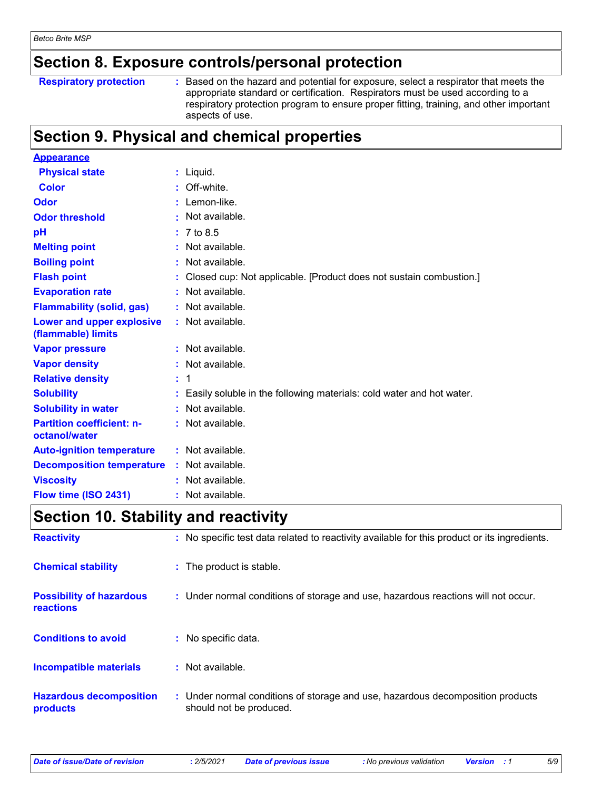### **Section 8. Exposure controls/personal protection**

#### **Respiratory protection :**

: Based on the hazard and potential for exposure, select a respirator that meets the appropriate standard or certification. Respirators must be used according to a respiratory protection program to ensure proper fitting, training, and other important aspects of use.

### **Section 9. Physical and chemical properties**

| <b>Appearance</b>                                      |                                                                      |
|--------------------------------------------------------|----------------------------------------------------------------------|
| <b>Physical state</b>                                  | $:$ Liquid.                                                          |
| <b>Color</b>                                           | Off-white.                                                           |
| Odor                                                   | : Lemon-like.                                                        |
| <b>Odor threshold</b>                                  | $\cdot$ Not available.                                               |
| pH                                                     | : 7 to 8.5                                                           |
| <b>Melting point</b>                                   | Not available.                                                       |
| <b>Boiling point</b>                                   | : Not available.                                                     |
| <b>Flash point</b>                                     | Closed cup: Not applicable. [Product does not sustain combustion.]   |
| <b>Evaporation rate</b>                                | Not available.                                                       |
| <b>Flammability (solid, gas)</b>                       | Not available.                                                       |
| <b>Lower and upper explosive</b><br>(flammable) limits | : Not available.                                                     |
| <b>Vapor pressure</b>                                  | $:$ Not available.                                                   |
| <b>Vapor density</b>                                   | : Not available.                                                     |
| <b>Relative density</b>                                | $\div$ 1                                                             |
| <b>Solubility</b>                                      | Easily soluble in the following materials: cold water and hot water. |
| <b>Solubility in water</b>                             | Not available.                                                       |
| <b>Partition coefficient: n-</b><br>octanol/water      | : Not available.                                                     |
| <b>Auto-ignition temperature</b>                       | $:$ Not available.                                                   |
| <b>Decomposition temperature</b>                       | : Not available.                                                     |
| <b>Viscosity</b>                                       | : Not available.                                                     |
| Flow time (ISO 2431)                                   | $:$ Not available.                                                   |

### **Section 10. Stability and reactivity**

| <b>Reactivity</b>                            | : No specific test data related to reactivity available for this product or its ingredients.              |
|----------------------------------------------|-----------------------------------------------------------------------------------------------------------|
| <b>Chemical stability</b>                    | : The product is stable.                                                                                  |
| <b>Possibility of hazardous</b><br>reactions | : Under normal conditions of storage and use, hazardous reactions will not occur.                         |
| <b>Conditions to avoid</b>                   | : No specific data.                                                                                       |
| <b>Incompatible materials</b>                | : Not available.                                                                                          |
| <b>Hazardous decomposition</b><br>products   | : Under normal conditions of storage and use, hazardous decomposition products<br>should not be produced. |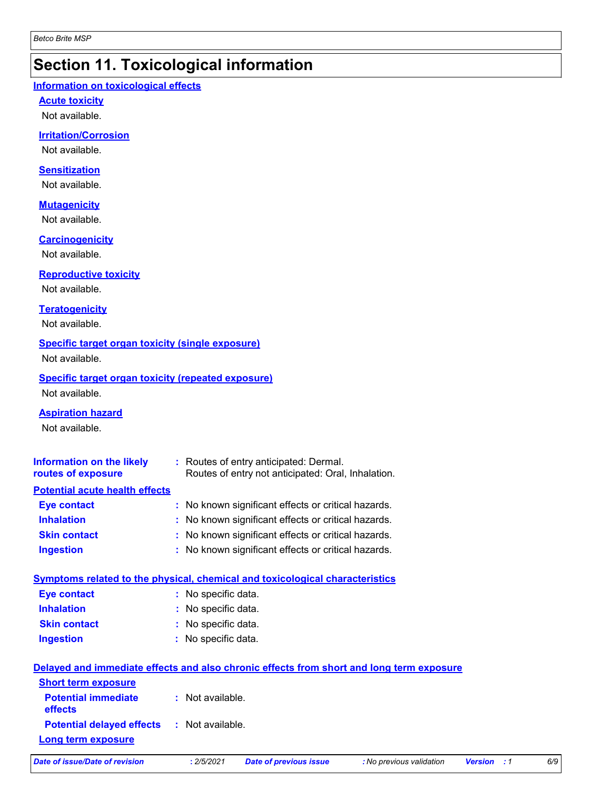# **Section 11. Toxicological information**

#### **Information on toxicological effects**

**Acute toxicity**

Not available.

#### **Irritation/Corrosion**

Not available.

#### **Sensitization**

Not available.

#### **Mutagenicity**

Not available.

#### **Carcinogenicity**

Not available.

#### **Reproductive toxicity**

Not available.

#### **Teratogenicity**

Not available.

#### **Specific target organ toxicity (single exposure)**

Not available.

#### **Specific target organ toxicity (repeated exposure)** Not available.

**Aspiration hazard**

Not available.

| <b>Information on the likely</b><br>routes of exposure | : Routes of entry anticipated: Dermal.<br>Routes of entry not anticipated: Oral, Inhalation. |
|--------------------------------------------------------|----------------------------------------------------------------------------------------------|
| <b>Potential acute health effects</b>                  |                                                                                              |
| <b>Eye contact</b>                                     | : No known significant effects or critical hazards.                                          |
| <b>Inhalation</b>                                      | : No known significant effects or critical hazards.                                          |
| <b>Skin contact</b>                                    | : No known significant effects or critical hazards.                                          |
| <b>Ingestion</b>                                       | : No known significant effects or critical hazards.                                          |

|                     | <b>Symptoms related to the physical, chemical and toxicological characteristics</b> |
|---------------------|-------------------------------------------------------------------------------------|
| Eye contact         | : No specific data.                                                                 |
| <b>Inhalation</b>   | : No specific data.                                                                 |
| <b>Skin contact</b> | : No specific data.                                                                 |
| <b>Ingestion</b>    | : No specific data.                                                                 |
|                     |                                                                                     |

|                                                   | Delayed and immediate effects and also chronic effects from short and long term exposure |
|---------------------------------------------------|------------------------------------------------------------------------------------------|
| <b>Short term exposure</b>                        |                                                                                          |
| <b>Potential immediate</b><br><b>effects</b>      | : Not available.                                                                         |
| <b>Potential delayed effects : Not available.</b> |                                                                                          |
| <b>Long term exposure</b>                         |                                                                                          |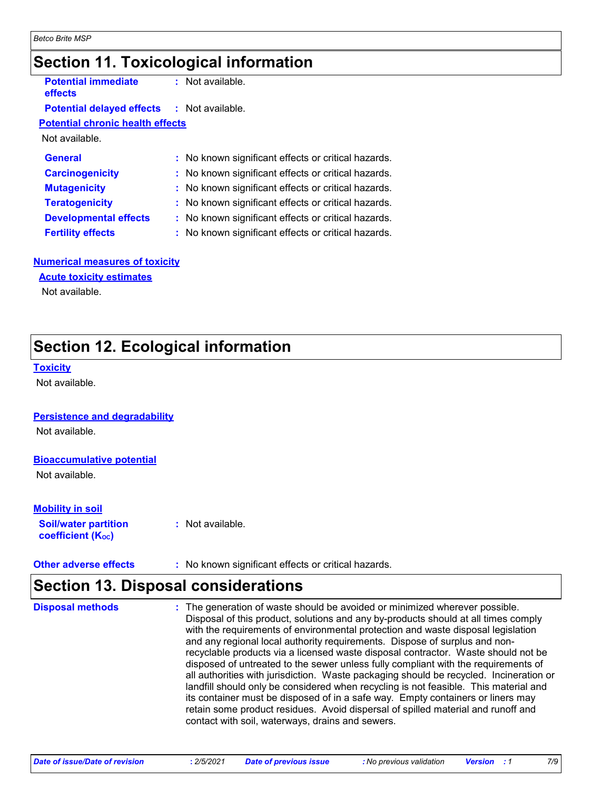### **Section 11. Toxicological information**

**Potential immediate effects**

**:** Not available.

#### **Potential delayed effects :** Not available.

**Potential chronic health effects**

Not available.

| <b>General</b>               | : No known significant effects or critical hazards. |
|------------------------------|-----------------------------------------------------|
| <b>Carcinogenicity</b>       | : No known significant effects or critical hazards. |
| <b>Mutagenicity</b>          | : No known significant effects or critical hazards. |
| <b>Teratogenicity</b>        | : No known significant effects or critical hazards. |
| <b>Developmental effects</b> | : No known significant effects or critical hazards. |
| <b>Fertility effects</b>     | : No known significant effects or critical hazards. |

#### **Numerical measures of toxicity**

**Acute toxicity estimates**

Not available.

# **Section 12. Ecological information**

#### **Toxicity**

Not available.

#### **Persistence and degradability**

Not available.

#### **Bioaccumulative potential**

Not available.

#### **Mobility in soil**

**Soil/water partition coefficient (KOC) :** Not available.

**Other adverse effects** : No known significant effects or critical hazards.

### **Section 13. Disposal considerations**

| <b>Disposal methods</b> | : The generation of waste should be avoided or minimized wherever possible.<br>Disposal of this product, solutions and any by-products should at all times comply<br>with the requirements of environmental protection and waste disposal legislation<br>and any regional local authority requirements. Dispose of surplus and non-<br>recyclable products via a licensed waste disposal contractor. Waste should not be<br>disposed of untreated to the sewer unless fully compliant with the requirements of<br>all authorities with jurisdiction. Waste packaging should be recycled. Incineration or<br>landfill should only be considered when recycling is not feasible. This material and<br>its container must be disposed of in a safe way. Empty containers or liners may<br>retain some product residues. Avoid dispersal of spilled material and runoff and<br>contact with soil, waterways, drains and sewers. |
|-------------------------|-----------------------------------------------------------------------------------------------------------------------------------------------------------------------------------------------------------------------------------------------------------------------------------------------------------------------------------------------------------------------------------------------------------------------------------------------------------------------------------------------------------------------------------------------------------------------------------------------------------------------------------------------------------------------------------------------------------------------------------------------------------------------------------------------------------------------------------------------------------------------------------------------------------------------------|
|                         |                                                                                                                                                                                                                                                                                                                                                                                                                                                                                                                                                                                                                                                                                                                                                                                                                                                                                                                             |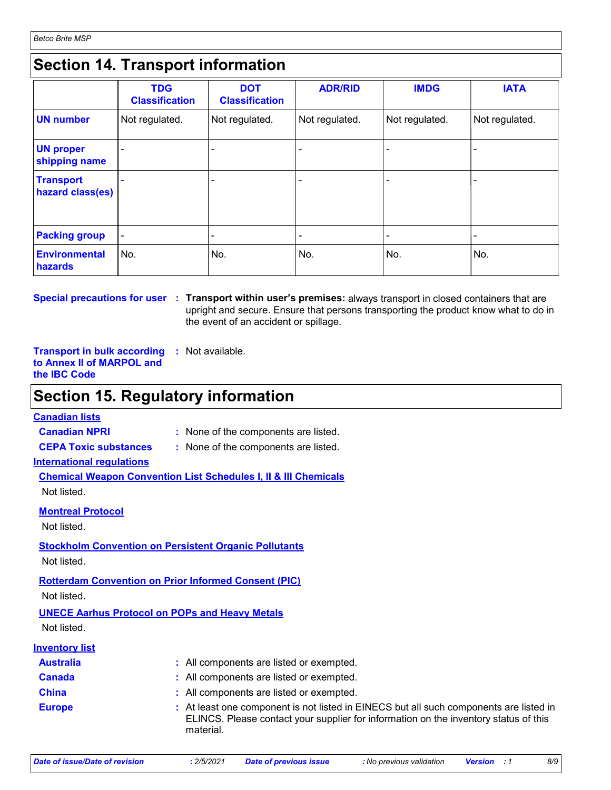### **Section 14. Transport information**

|                                      | <b>TDG</b><br><b>Classification</b> | <b>DOT</b><br><b>Classification</b> | <b>ADR/RID</b> | <b>IMDG</b>    | <b>IATA</b>    |
|--------------------------------------|-------------------------------------|-------------------------------------|----------------|----------------|----------------|
| <b>UN number</b>                     | Not regulated.                      | Not regulated.                      | Not regulated. | Not regulated. | Not regulated. |
| <b>UN proper</b><br>shipping name    |                                     |                                     |                |                |                |
| <b>Transport</b><br>hazard class(es) |                                     |                                     |                |                |                |
| <b>Packing group</b>                 |                                     |                                     |                |                |                |
| <b>Environmental</b><br>hazards      | No.                                 | No.                                 | No.            | No.            | No.            |

**Special precautions for user Transport within user's premises:** always transport in closed containers that are **:** upright and secure. Ensure that persons transporting the product know what to do in the event of an accident or spillage.

**Transport in bulk according :** Not available. **to Annex II of MARPOL and the IBC Code**

### **Section 15. Regulatory information**

#### **Canadian lists**

**Canadian NPRI :** None of the components are listed.

- **CEPA Toxic substances :** None of the components are listed.
	-

**International regulations**

**Chemical Weapon Convention List Schedules I, II & III Chemicals** Not listed.

**Montreal Protocol**

Not listed.

#### **Stockholm Convention on Persistent Organic Pollutants** Not listed.

**Rotterdam Convention on Prior Informed Consent (PIC)**

Not listed.

#### **UNECE Aarhus Protocol on POPs and Heavy Metals** Not listed.

| <b>Inventory list</b> |                                                                                                                                                                                             |
|-----------------------|---------------------------------------------------------------------------------------------------------------------------------------------------------------------------------------------|
| <b>Australia</b>      | : All components are listed or exempted.                                                                                                                                                    |
| <b>Canada</b>         | : All components are listed or exempted.                                                                                                                                                    |
| <b>China</b>          | : All components are listed or exempted.                                                                                                                                                    |
| <b>Europe</b>         | : At least one component is not listed in EINECS but all such components are listed in<br>ELINCS. Please contact your supplier for information on the inventory status of this<br>material. |